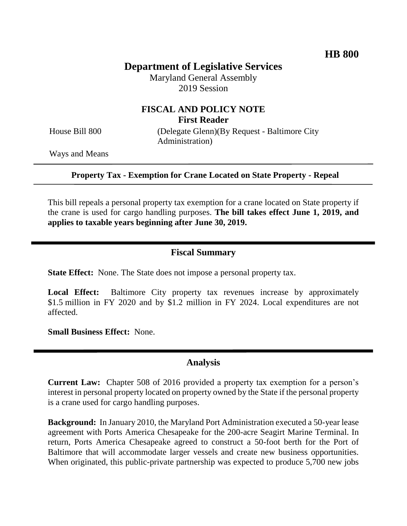# **Department of Legislative Services**

Maryland General Assembly 2019 Session

## **FISCAL AND POLICY NOTE First Reader**

House Bill 800 (Delegate Glenn)(By Request - Baltimore City Administration)

Ways and Means

**Property Tax - Exemption for Crane Located on State Property - Repeal**

This bill repeals a personal property tax exemption for a crane located on State property if the crane is used for cargo handling purposes. **The bill takes effect June 1, 2019, and applies to taxable years beginning after June 30, 2019.** 

#### **Fiscal Summary**

**State Effect:** None. The State does not impose a personal property tax.

**Local Effect:** Baltimore City property tax revenues increase by approximately \$1.5 million in FY 2020 and by \$1.2 million in FY 2024. Local expenditures are not affected.

**Small Business Effect:** None.

#### **Analysis**

**Current Law:** Chapter 508 of 2016 provided a property tax exemption for a person's interest in personal property located on property owned by the State if the personal property is a crane used for cargo handling purposes.

**Background:** In January 2010, the Maryland Port Administration executed a 50-year lease agreement with Ports America Chesapeake for the 200-acre Seagirt Marine Terminal. In return, Ports America Chesapeake agreed to construct a 50-foot berth for the Port of Baltimore that will accommodate larger vessels and create new business opportunities. When originated, this public-private partnership was expected to produce 5,700 new jobs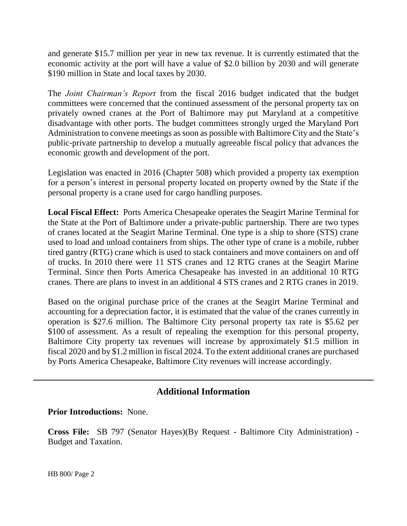and generate \$15.7 million per year in new tax revenue. It is currently estimated that the economic activity at the port will have a value of \$2.0 billion by 2030 and will generate \$190 million in State and local taxes by 2030.

The *Joint Chairman's Report* from the fiscal 2016 budget indicated that the budget committees were concerned that the continued assessment of the personal property tax on privately owned cranes at the Port of Baltimore may put Maryland at a competitive disadvantage with other ports. The budget committees strongly urged the Maryland Port Administration to convene meetings as soon as possible with Baltimore City and the State's public-private partnership to develop a mutually agreeable fiscal policy that advances the economic growth and development of the port.

Legislation was enacted in 2016 (Chapter 508) which provided a property tax exemption for a person's interest in personal property located on property owned by the State if the personal property is a crane used for cargo handling purposes.

**Local Fiscal Effect:** Ports America Chesapeake operates the Seagirt Marine Terminal for the State at the Port of Baltimore under a private-public partnership. There are two types of cranes located at the Seagirt Marine Terminal. One type is a ship to shore (STS) crane used to load and unload containers from ships. The other type of crane is a mobile, rubber tired gantry (RTG) crane which is used to stack containers and move containers on and off of trucks. In 2010 there were 11 STS cranes and 12 RTG cranes at the Seagirt Marine Terminal. Since then Ports America Chesapeake has invested in an additional 10 RTG cranes. There are plans to invest in an additional 4 STS cranes and 2 RTG cranes in 2019.

Based on the original purchase price of the cranes at the Seagirt Marine Terminal and accounting for a depreciation factor, it is estimated that the value of the cranes currently in operation is \$27.6 million. The Baltimore City personal property tax rate is \$5.62 per \$100 of assessment. As a result of repealing the exemption for this personal property, Baltimore City property tax revenues will increase by approximately \$1.5 million in fiscal 2020 and by \$1.2 million in fiscal 2024. To the extent additional cranes are purchased by Ports America Chesapeake, Baltimore City revenues will increase accordingly.

### **Additional Information**

#### **Prior Introductions:** None.

**Cross File:** SB 797 (Senator Hayes)(By Request - Baltimore City Administration) - Budget and Taxation.